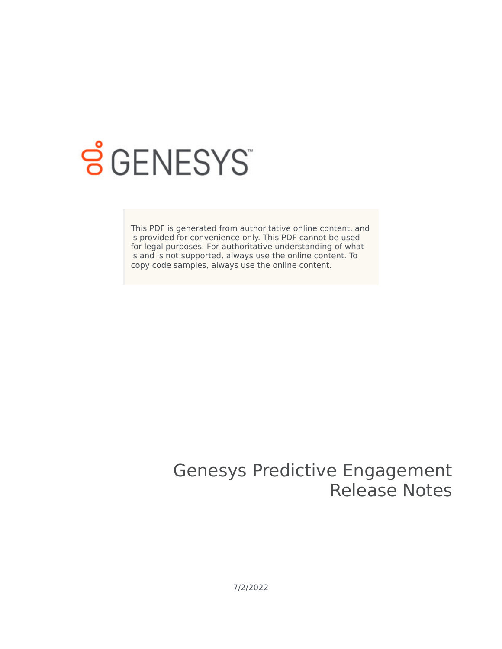

# <span id="page-0-0"></span>**SGENESYS**

This PDF is generated from authoritative online content, and is provided for convenience only. This PDF cannot be used for legal purposes. For authoritative understanding of what is and is not supported, always use the online content. To copy code samples, always use the online content.

### Genesys Predictive Engagement Release Notes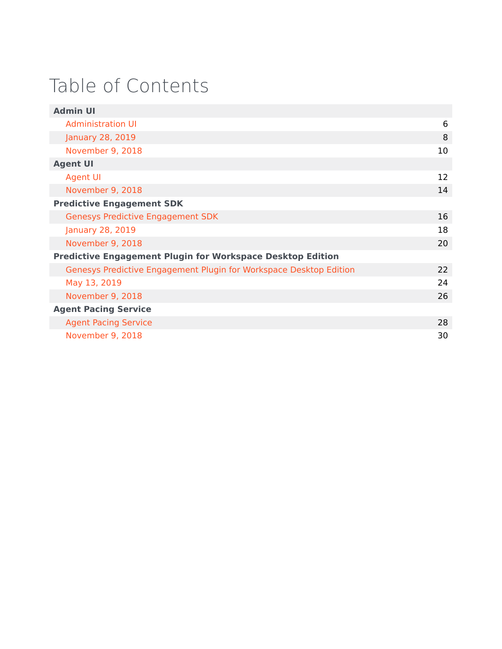# Table of Contents

| <b>Admin UI</b>                                                    |    |
|--------------------------------------------------------------------|----|
| Administration UI                                                  | 6  |
| January 28, 2019                                                   | 8  |
| November 9, 2018                                                   | 10 |
| <b>Agent UI</b>                                                    |    |
| <b>Agent UI</b>                                                    | 12 |
| November 9, 2018                                                   | 14 |
| <b>Predictive Engagement SDK</b>                                   |    |
| <b>Genesys Predictive Engagement SDK</b>                           | 16 |
| January 28, 2019                                                   | 18 |
| November 9, 2018                                                   | 20 |
| <b>Predictive Engagement Plugin for Workspace Desktop Edition</b>  |    |
| Genesys Predictive Engagement Plugin for Workspace Desktop Edition | 22 |
| May 13, 2019                                                       | 24 |
| November 9, 2018                                                   | 26 |
| <b>Agent Pacing Service</b>                                        |    |
| <b>Agent Pacing Service</b>                                        | 28 |
| November 9, 2018                                                   | 30 |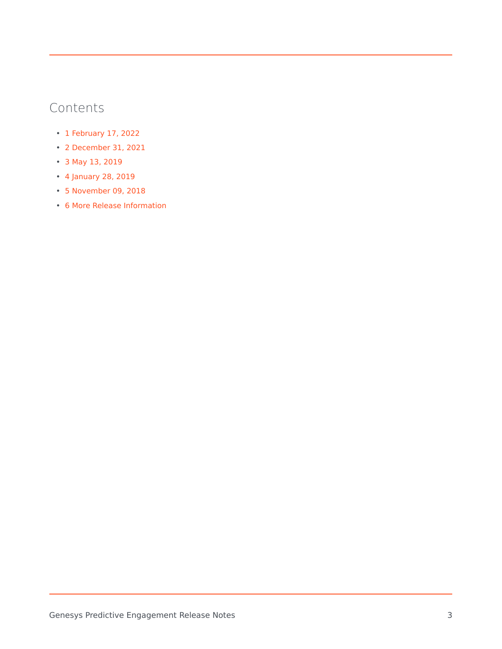- 1 [February 17, 2022](#page-3-0)
- 2 [December 31, 2021](#page-3-1)
- 3 [May 13, 2019](#page-3-2)
- 4 [January 28, 2019](#page-3-3)
- 5 [November 09, 2018](#page-3-4)
- 6 [More Release Information](#page-3-5)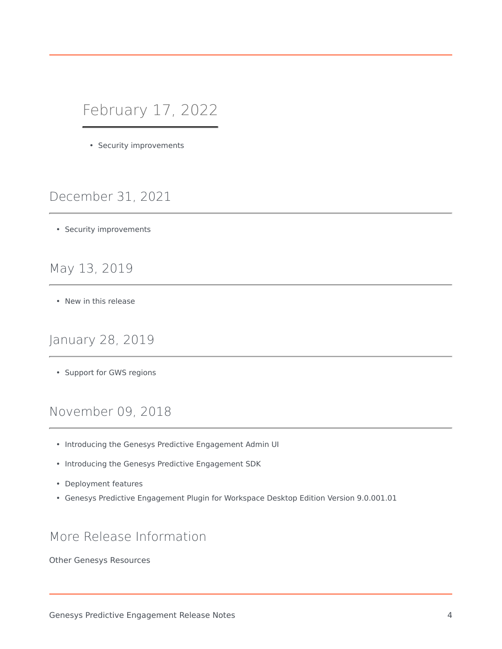### <span id="page-3-0"></span>February 17, 2022

• Security improvements

### <span id="page-3-1"></span>December 31, 2021

• Security improvements

#### <span id="page-3-2"></span>May 13, 2019

• New in this release

#### <span id="page-3-3"></span>January 28, 2019

• Support for GWS regions

#### <span id="page-3-4"></span>November 09, 2018

- Introducing the Genesys Predictive Engagement Admin UI
- Introducing the Genesys Predictive Engagement SDK
- Deployment features
- Genesys Predictive Engagement Plugin for Workspace Desktop Edition Version 9.0.001.01

#### <span id="page-3-5"></span>More Release Information

Other Genesys Resources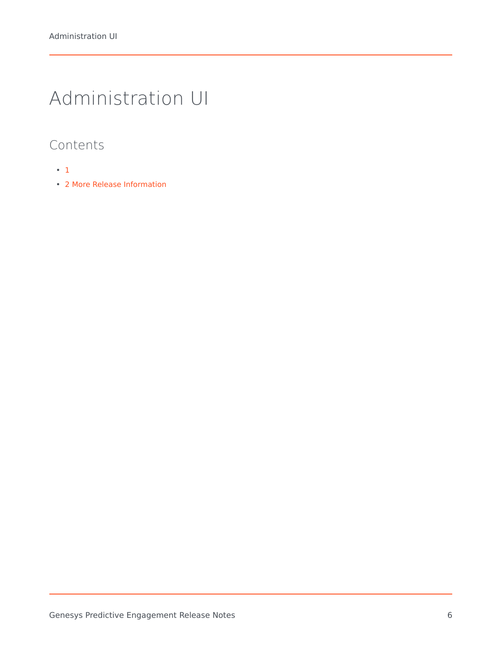# <span id="page-5-0"></span>Administration UI

- [1](#page-0-0)
- 2 [More Release Information](#page-3-5)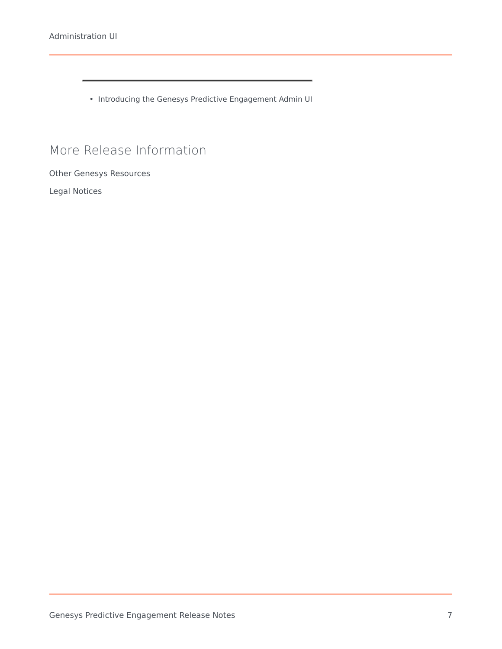• Introducing the Genesys Predictive Engagement Admin UI

#### More Release Information

Other Genesys Resources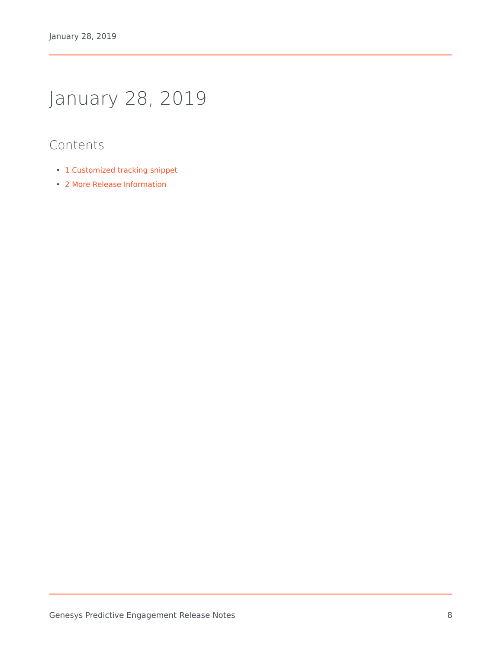# <span id="page-7-0"></span>January 28, 2019

- 1 [Customized tracking snippet](#page-8-0)
- 2 [More Release Information](#page-3-5)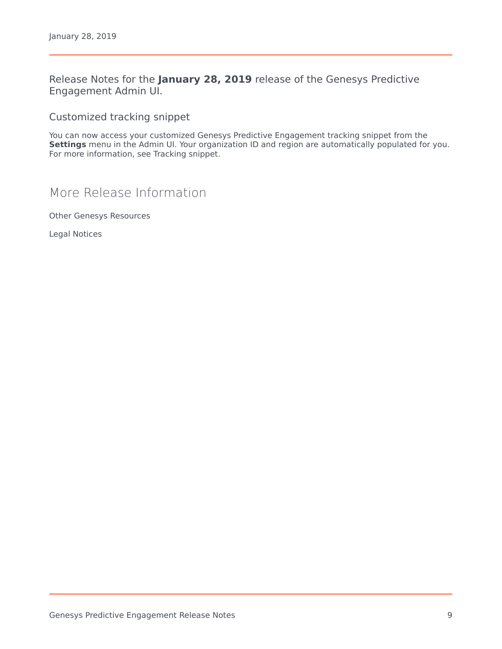Release Notes for the **January 28, 2019** release of the Genesys Predictive Engagement Admin UI.

<span id="page-8-0"></span>Customized tracking snippet

You can now access your customized Genesys Predictive Engagement tracking snippet from the **Settings** menu in the Admin UI. Your organization ID and region are automatically populated for you. For more information, see Tracking snippet.

More Release Information

Other Genesys Resources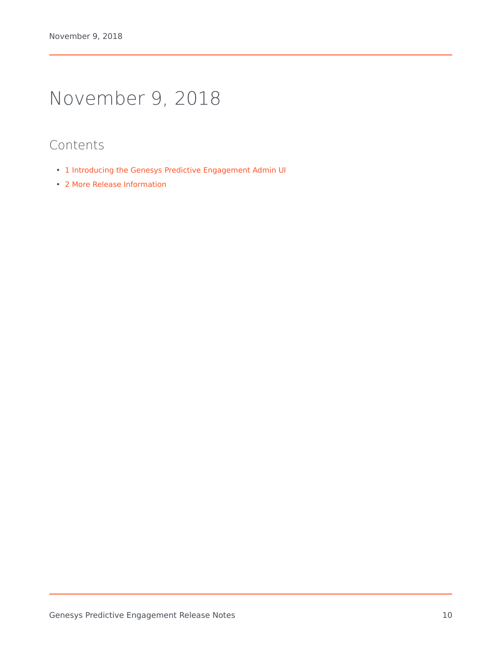# <span id="page-9-0"></span>November 9, 2018

- 1 [Introducing the Genesys Predictive Engagement Admin UI](#page-10-0)
- 2 [More Release Information](#page-3-5)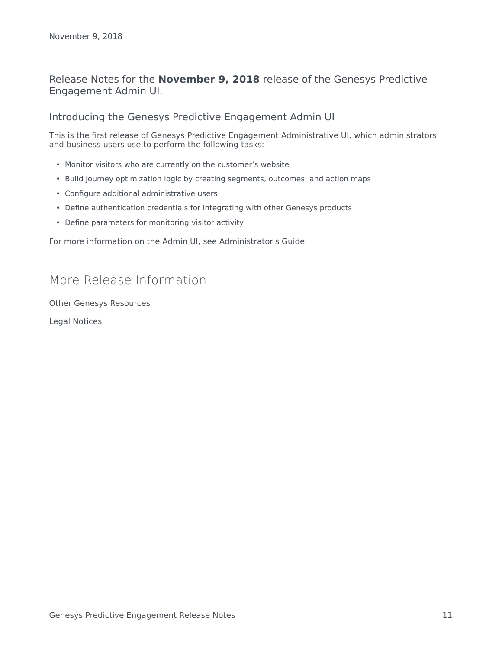#### Release Notes for the **November 9, 2018** release of the Genesys Predictive Engagement Admin UI.

<span id="page-10-0"></span>Introducing the Genesys Predictive Engagement Admin UI

This is the first release of Genesys Predictive Engagement Administrative UI, which administrators and business users use to perform the following tasks:

- Monitor visitors who are currently on the customer's website
- Build journey optimization logic by creating segments, outcomes, and action maps
- Configure additional administrative users
- Define authentication credentials for integrating with other Genesys products
- Define parameters for monitoring visitor activity

For more information on the Admin UI, see Administrator's Guide.

#### More Release Information

Other Genesys Resources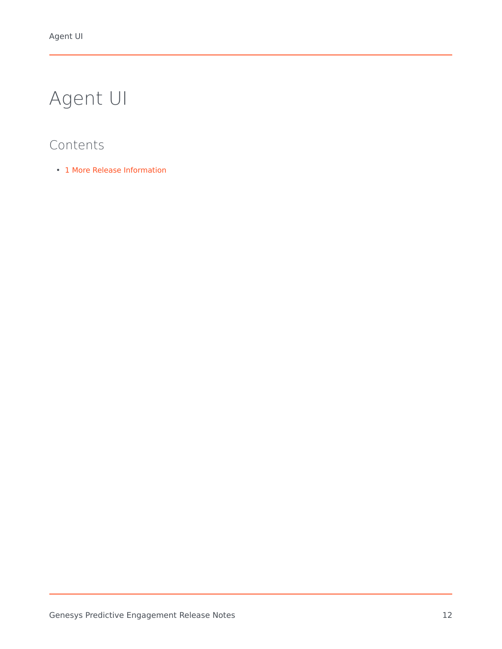# <span id="page-11-0"></span>Agent UI

### Contents

• 1 [More Release Information](#page-3-5)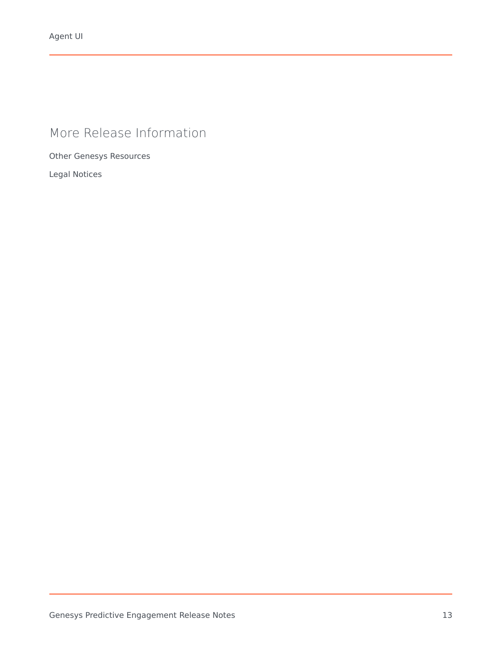### More Release Information

Other Genesys Resources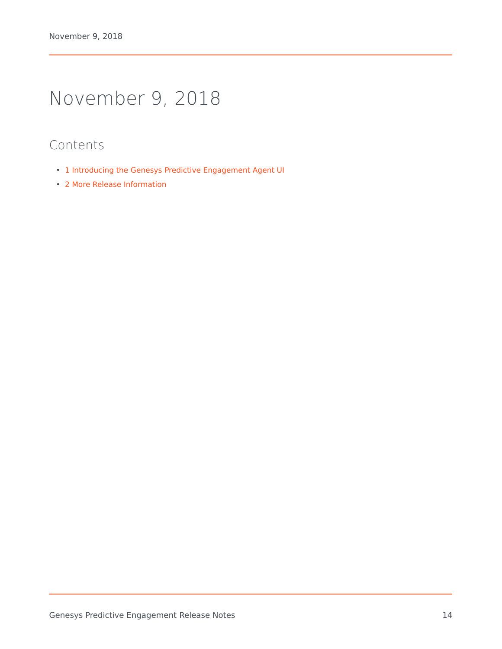# <span id="page-13-0"></span>November 9, 2018

- 1 [Introducing the Genesys Predictive Engagement Agent UI](#page-14-0)
- 2 [More Release Information](#page-3-5)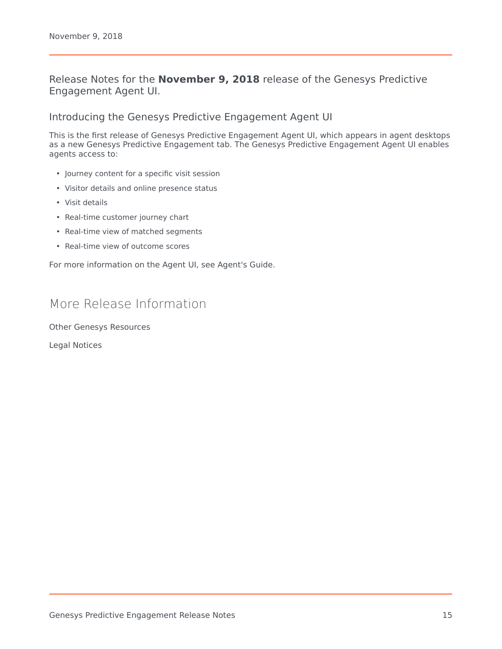#### Release Notes for the **November 9, 2018** release of the Genesys Predictive Engagement Agent UI.

<span id="page-14-0"></span>Introducing the Genesys Predictive Engagement Agent UI

This is the first release of Genesys Predictive Engagement Agent UI, which appears in agent desktops as a new Genesys Predictive Engagement tab. The Genesys Predictive Engagement Agent UI enables agents access to:

- Journey content for a specific visit session
- Visitor details and online presence status
- Visit details
- Real-time customer journey chart
- Real-time view of matched segments
- Real-time view of outcome scores

For more information on the Agent UI, see Agent's Guide.

#### More Release Information

Other Genesys Resources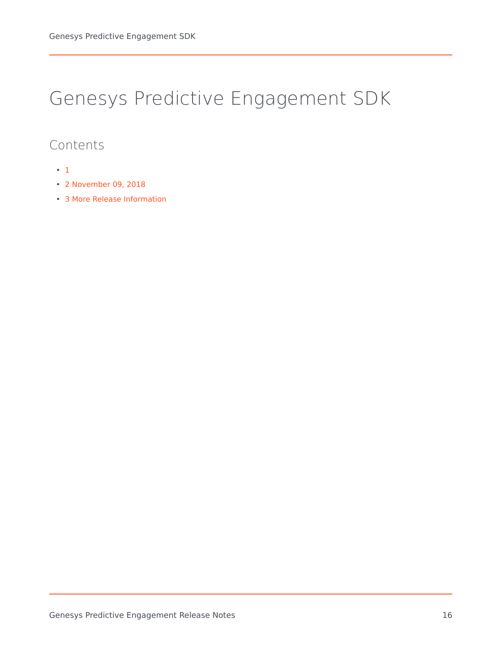### <span id="page-15-0"></span>Genesys Predictive Engagement SDK

- [1](#page-0-0)
- 2 [November 09, 2018](#page-3-4)
- 3 [More Release Information](#page-3-5)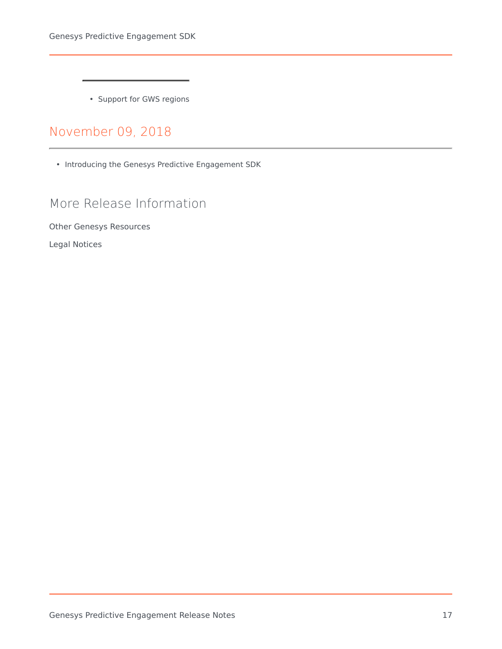• Support for GWS regions

### [November 09, 2018](https://all.docs.genesys.com/ATC/Current/ReleaseNotes/JSDK-Nov-9)

• Introducing the Genesys Predictive Engagement SDK

### More Release Information

Other Genesys Resources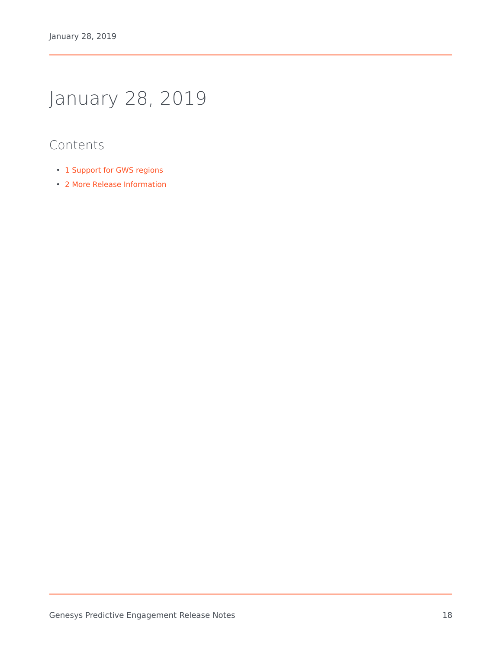# <span id="page-17-0"></span>January 28, 2019

- 1 [Support for GWS regions](#page-18-0)
- 2 [More Release Information](#page-3-5)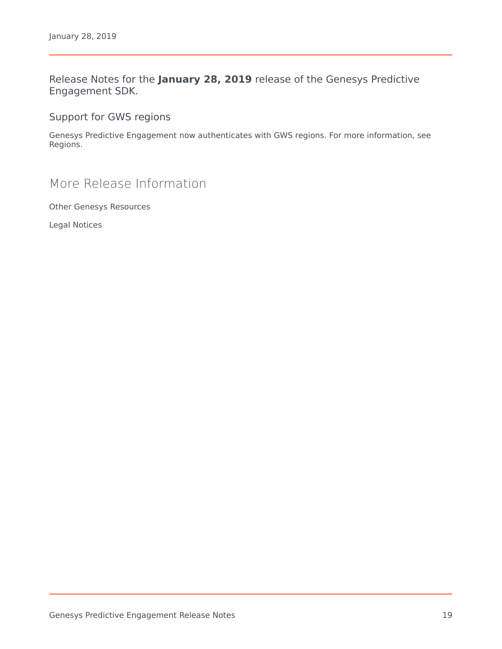Release Notes for the **January 28, 2019** release of the Genesys Predictive Engagement SDK.

<span id="page-18-0"></span>Support for GWS regions

Genesys Predictive Engagement now authenticates with GWS regions. For more information, see Regions.

### More Release Information

Other Genesys Resources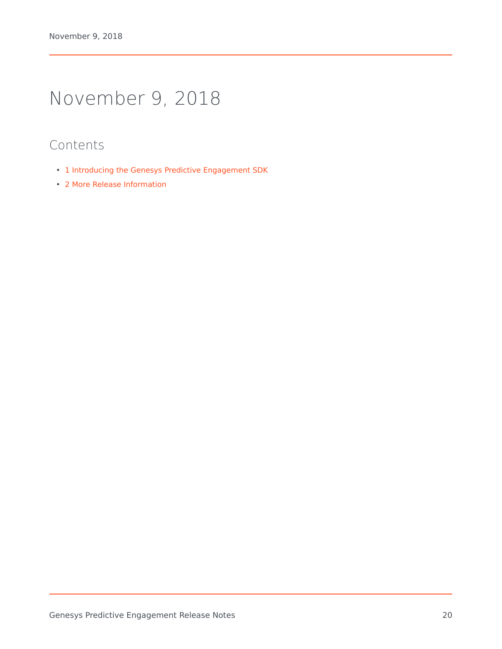# <span id="page-19-0"></span>November 9, 2018

- 1 [Introducing the Genesys Predictive Engagement SDK](#page-20-0)
- 2 [More Release Information](#page-3-5)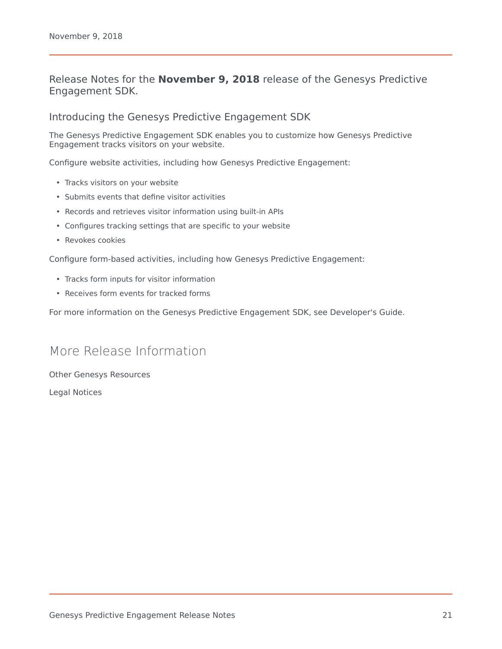#### Release Notes for the **November 9, 2018** release of the Genesys Predictive Engagement SDK.

#### <span id="page-20-0"></span>Introducing the Genesys Predictive Engagement SDK

The Genesys Predictive Engagement SDK enables you to customize how Genesys Predictive Engagement tracks visitors on your website.

Configure website activities, including how Genesys Predictive Engagement:

- Tracks visitors on your website
- Submits events that define visitor activities
- Records and retrieves visitor information using built-in APIs
- Configures tracking settings that are specific to your website
- Revokes cookies

Configure form-based activities, including how Genesys Predictive Engagement:

- Tracks form inputs for visitor information
- Receives form events for tracked forms

For more information on the Genesys Predictive Engagement SDK, see Developer's Guide.

#### More Release Information

Other Genesys Resources Legal Notices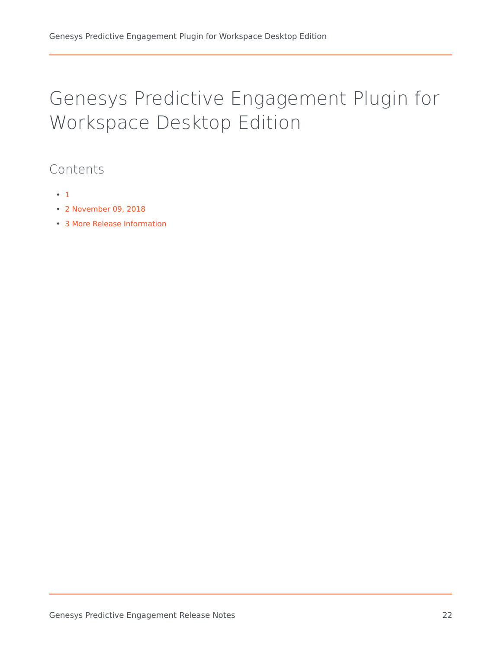# <span id="page-21-0"></span>Genesys Predictive Engagement Plugin for Workspace Desktop Edition

- [1](#page-0-0)
- 2 [November 09, 2018](#page-3-4)
- 3 [More Release Information](#page-3-5)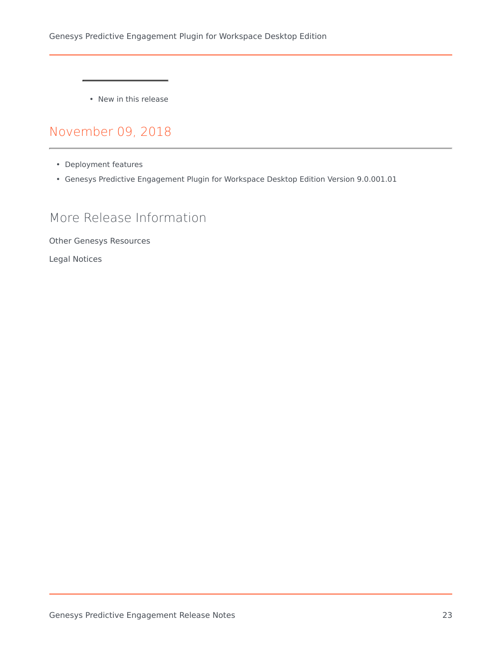• New in this release

### [November 09, 2018](https://all.docs.genesys.com/ATC/Current/ReleaseNotes/WDE-Nov-9)

- Deployment features
- Genesys Predictive Engagement Plugin for Workspace Desktop Edition Version 9.0.001.01

#### More Release Information

Other Genesys Resources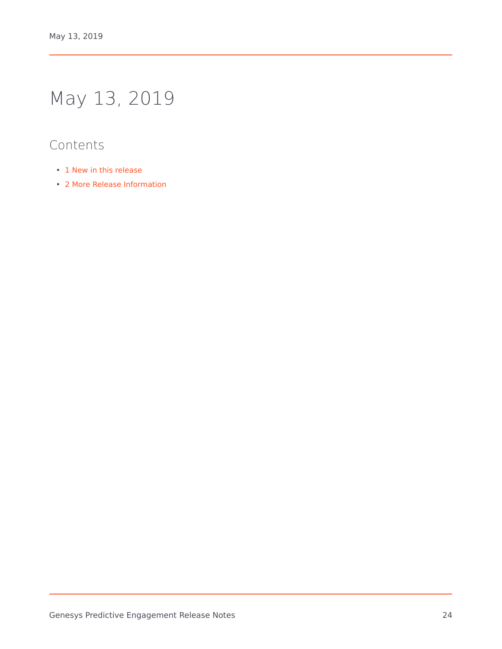# <span id="page-23-0"></span>May 13, 2019

- 1 [New in this release](#page-24-0)
- 2 [More Release Information](#page-3-5)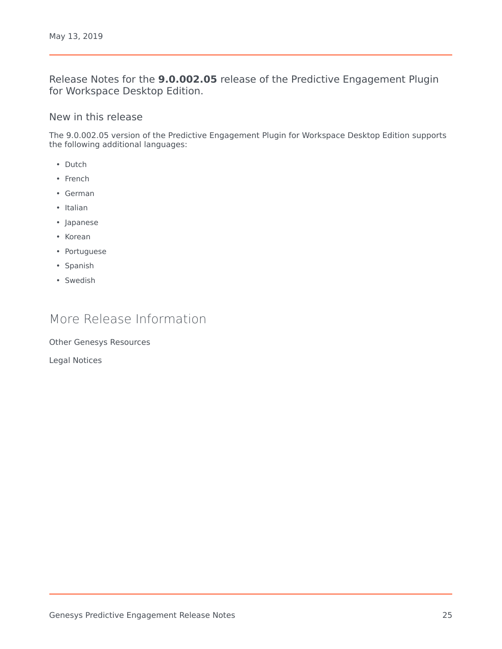Release Notes for the **9.0.002.05** release of the Predictive Engagement Plugin for Workspace Desktop Edition.

#### <span id="page-24-0"></span>New in this release

The 9.0.002.05 version of the Predictive Engagement Plugin for Workspace Desktop Edition supports the following additional languages:

- Dutch
- French
- German
- Italian
- Japanese
- Korean
- Portuguese
- Spanish
- Swedish

#### More Release Information

Other Genesys Resources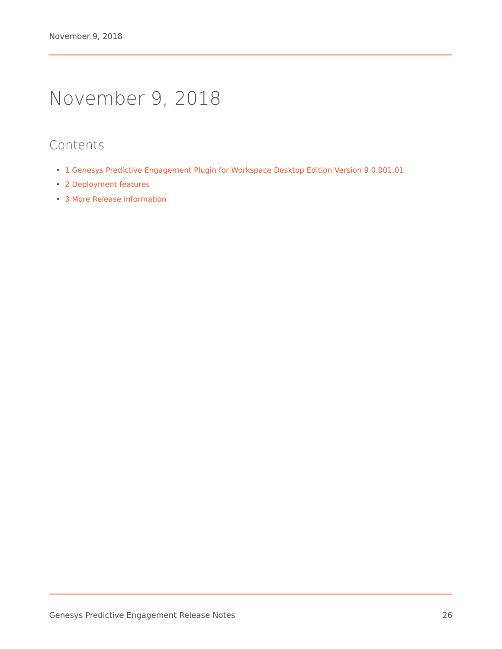### <span id="page-25-0"></span>November 9, 2018

- 1 [Genesys Predictive Engagement Plugin for Workspace Desktop Edition Version 9.0.001.01](#page-26-0)
- 2 [Deployment features](#page-26-1)
- 3 [More Release Information](#page-3-5)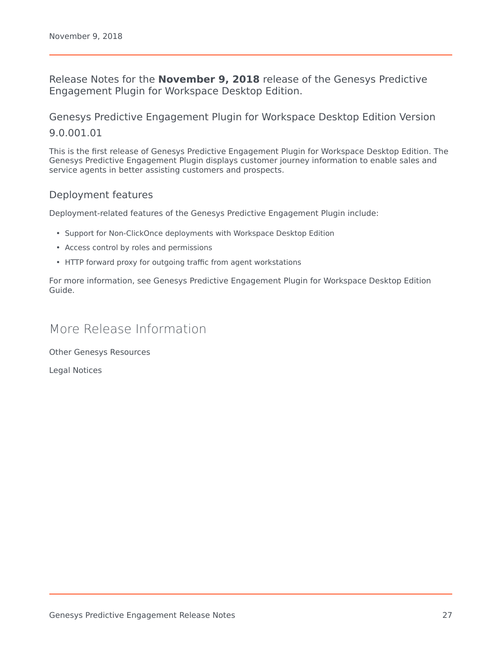Release Notes for the **November 9, 2018** release of the Genesys Predictive Engagement Plugin for Workspace Desktop Edition.

<span id="page-26-0"></span>Genesys Predictive Engagement Plugin for Workspace Desktop Edition Version 9.0.001.01

This is the first release of Genesys Predictive Engagement Plugin for Workspace Desktop Edition. The Genesys Predictive Engagement Plugin displays customer journey information to enable sales and service agents in better assisting customers and prospects.

#### <span id="page-26-1"></span>Deployment features

Deployment-related features of the Genesys Predictive Engagement Plugin include:

- Support for Non-ClickOnce deployments with Workspace Desktop Edition
- Access control by roles and permissions
- HTTP forward proxy for outgoing traffic from agent workstations

For more information, see Genesys Predictive Engagement Plugin for Workspace Desktop Edition Guide.

#### More Release Information

Other Genesys Resources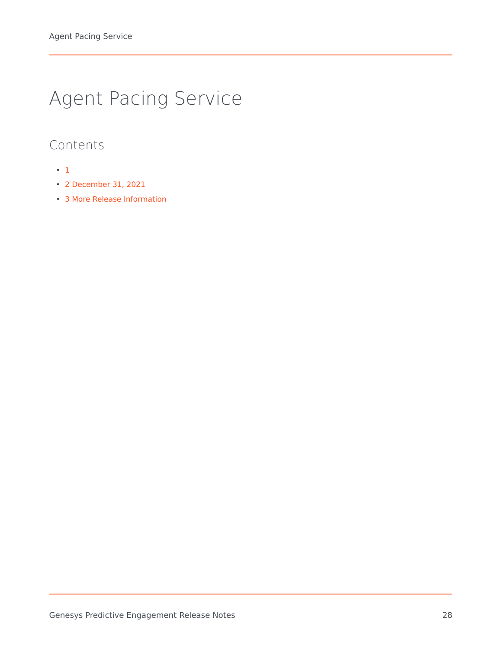# <span id="page-27-0"></span>Agent Pacing Service

- [1](#page-0-0)
- 2 [December 31, 2021](#page-3-1)
- 3 [More Release Information](#page-3-5)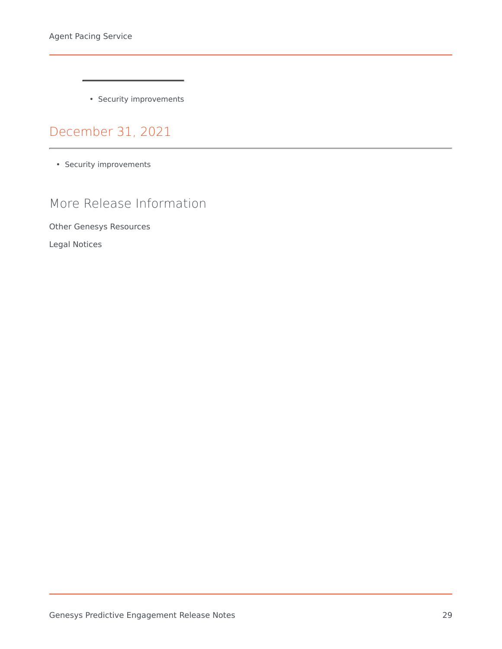• Security improvements

[December 31, 2021](https://all.docs.genesys.com/ATC/Current/ReleaseNotes/Pacing-Dec)

• Security improvements

### More Release Information

Other Genesys Resources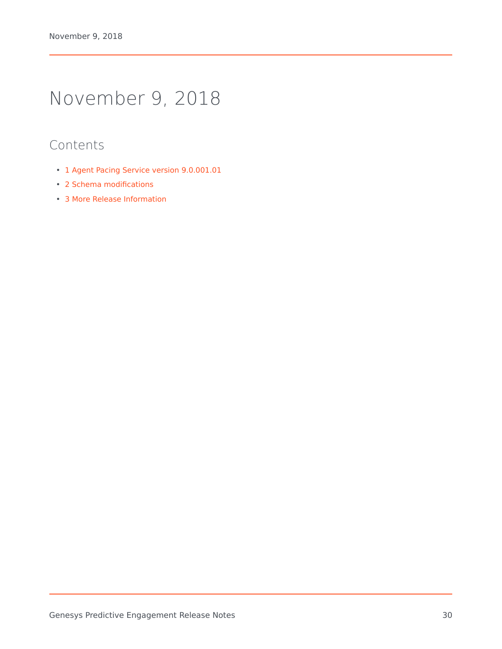# <span id="page-29-0"></span>November 9, 2018

- 1 [Agent Pacing Service version 9.0.001.01](#page-30-0)
- 2 [Schema modifications](#page-30-1)
- 3 [More Release Information](#page-3-5)